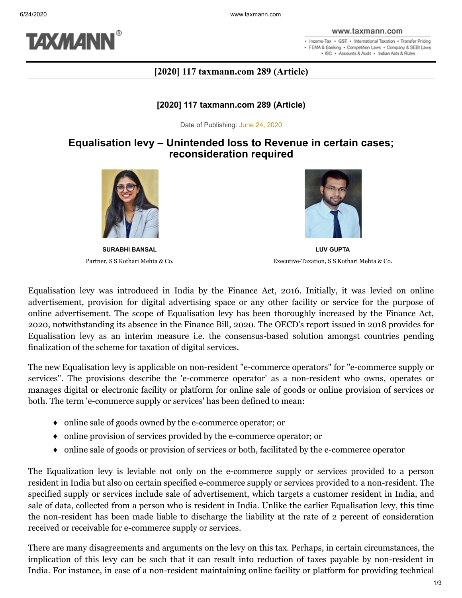

www.taxmann.com

. Income-Tax . GST . International Taxation . Transfer Pricing · FEMA & Banking · Competition Laws · Company & SEBI Laws . IBC . Accounts & Audit . Indian Acts & Rules

## **[2020] 117 taxmann.com 289 (Article)**

### **[2020] 117 taxmann.com 289 (Article)**

Date of Publishing: June 24, 2020

# **Equalisation levy – Unintended loss to Revenue in certain cases; reconsideration required**



**SURABHI BANSAL** Partner, S S Kothari Mehta & Co.



**LUV GUPTA** Executive-Taxation, S S Kothari Mehta & Co.

Equalisation levy was introduced in India by the Finance Act, 2016. Initially, it was levied on online advertisement, provision for digital advertising space or any other facility or service for the purpose of online advertisement. The scope of Equalisation levy has been thoroughly increased by the Finance Act, 2020, notwithstanding its absence in the Finance Bill, 2020. The OECD's report issued in 2018 provides for Equalisation levy as an interim measure i.e. the consensus-based solution amongst countries pending finalization of the scheme for taxation of digital services.

The new Equalisation levy is applicable on non-resident "e-commerce operators" for "e-commerce supply or services". The provisions describe the 'e-commerce operator' as a non-resident who owns, operates or manages digital or electronic facility or platform for online sale of goods or online provision of services or both. The term 'e-commerce supply or services' has been defined to mean:

- ♦ online sale of goods owned by the e-commerce operator; or
- ♦ online provision of services provided by the e-commerce operator; or
- ♦ online sale of goods or provision of services or both, facilitated by the e-commerce operator

The Equalization levy is leviable not only on the e-commerce supply or services provided to a person resident in India but also on certain specified e-commerce supply or services provided to a non-resident. The specified supply or services include sale of advertisement, which targets a customer resident in India, and sale of data, collected from a person who is resident in India. Unlike the earlier Equalisation levy, this time the non-resident has been made liable to discharge the liability at the rate of 2 percent of consideration received or receivable for e-commerce supply or services.

There are many disagreements and arguments on the levy on this tax. Perhaps, in certain circumstances, the implication of this levy can be such that it can result into reduction of taxes payable by non-resident in India. For instance, in case of a non-resident maintaining online facility or platform for providing technical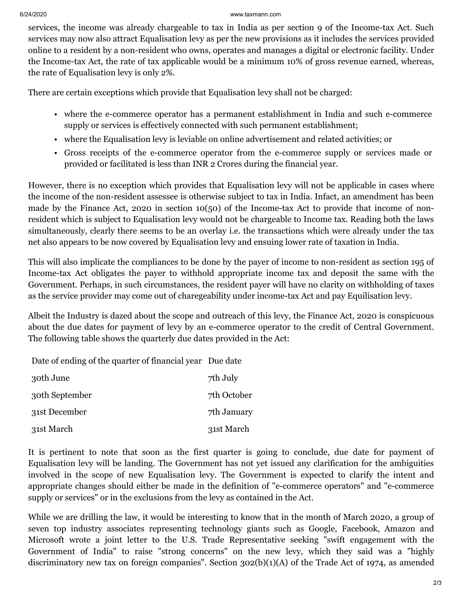#### 6/24/2020 www.taxmann.com

services, the income was already chargeable to tax in India as per section 9 of the Income-tax Act. Such services may now also attract Equalisation levy as per the new provisions as it includes the services provided online to a resident by a non-resident who owns, operates and manages a digital or electronic facility. Under the Income-tax Act, the rate of tax applicable would be a minimum 10% of gross revenue earned, whereas, the rate of Equalisation levy is only 2%.

There are certain exceptions which provide that Equalisation levy shall not be charged:

- where the e-commerce operator has a permanent establishment in India and such e-commerce supply or services is effectively connected with such permanent establishment;
- where the Equalisation levy is leviable on online advertisement and related activities; or
- Gross receipts of the e-commerce operator from the e-commerce supply or services made or provided or facilitated is less than INR 2 Crores during the financial year.

However, there is no exception which provides that Equalisation levy will not be applicable in cases where the income of the non-resident assessee is otherwise subject to tax in India. Infact, an amendment has been made by the Finance Act, 2020 in section 10(50) of the Income-tax Act to provide that income of nonresident which is subject to Equalisation levy would not be chargeable to Income tax. Reading both the laws simultaneously, clearly there seems to be an overlay i.e. the transactions which were already under the tax net also appears to be now covered by Equalisation levy and ensuing lower rate of taxation in India.

This will also implicate the compliances to be done by the payer of income to non-resident as section 195 of Income-tax Act obligates the payer to withhold appropriate income tax and deposit the same with the Government. Perhaps, in such circumstances, the resident payer will have no clarity on withholding of taxes as the service provider may come out of charegeability under income-tax Act and pay Equilisation levy.

Albeit the Industry is dazed about the scope and outreach of this levy, the Finance Act, 2020 is conspicuous about the due dates for payment of levy by an e-commerce operator to the credit of Central Government. The following table shows the quarterly due dates provided in the Act:

Date of ending of the quarter of financial year Due date

| 30th June      | 7th July    |
|----------------|-------------|
| 30th September | 7th October |
| 31st December  | 7th January |
| 31st March     | 31st March  |

It is pertinent to note that soon as the first quarter is going to conclude, due date for payment of Equalisation levy will be landing. The Government has not yet issued any clarification for the ambiguities involved in the scope of new Equalisation levy. The Government is expected to clarify the intent and appropriate changes should either be made in the definition of "e-commerce operators" and "e-commerce supply or services" or in the exclusions from the levy as contained in the Act.

While we are drilling the law, it would be interesting to know that in the month of March 2020, a group of seven top industry associates representing technology giants such as Google, Facebook, Amazon and Microsoft wrote a joint letter to the U.S. Trade Representative seeking "swift engagement with the Government of India" to raise "strong concerns" on the new levy, which they said was a "highly discriminatory new tax on foreign companies". Section 302(b)(1)(A) of the Trade Act of 1974, as amended